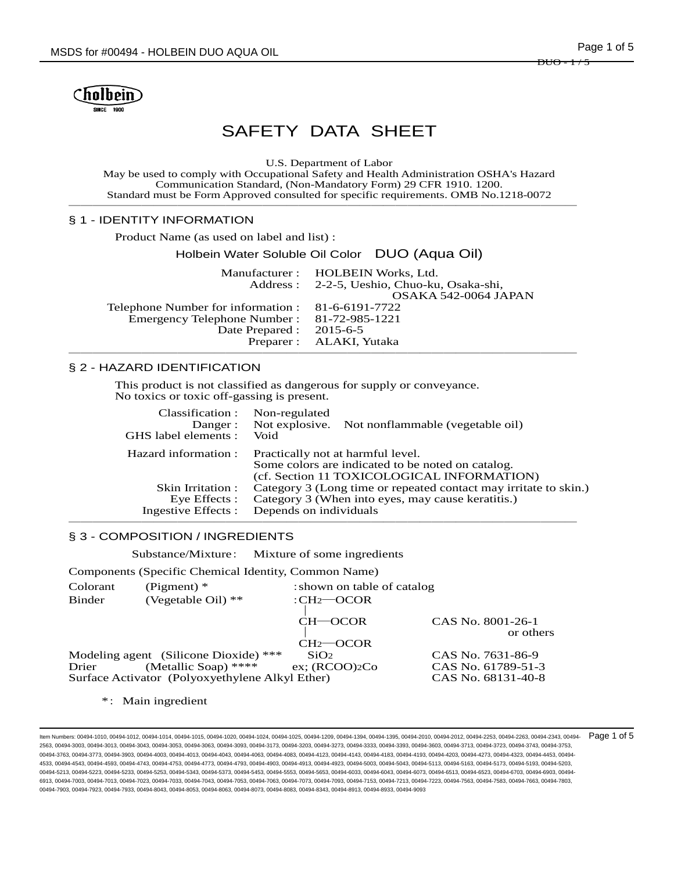

# SAFETY DATA SHEET

U.S. Department of Labor

May be used to comply with Occupational Safety and Health Administration OSHA's Hazard Communication Standard, (Non-Mandatory Form) 29 CFR 1910. 1200. Standard must be Form Approved consulted for specific requirements. OMB No.1218-0072 ──────────────────────────────────────────

#### § 1 - IDENTITY INFORMATION

Product Name (as used on label and list) :

Holbein Water Soluble Oil Color DUO (Aqua Oil) Manufacturer : HOLBEIN Works, Ltd.<br>Address : 2-2-5. Ueshio. Chuo-ku 2-2-5, Ueshio, Chuo-ku, Osaka-shi, OSAKA 542-0064 JAPAN<br>81-6-6191-7722 Telephone Number for information : 81-6-6191-7722 Emergency Telephone Number : Date Prepared : 2015-6-5 Preparer : ALAKI, Yutaka ──────────────────────────────────────────

#### § 2 - HAZARD IDENTIFICATION

This product is not classified as dangerous for supply or conveyance. No toxics or toxic off-gassing is present.

| Classification :     | Non-regulated                                                                                                                        |
|----------------------|--------------------------------------------------------------------------------------------------------------------------------------|
| Danger:              | Not explosive. Not nonflammable (vegetable oil)                                                                                      |
| GHS label elements : | Void                                                                                                                                 |
| Hazard information : | Practically not at harmful level.<br>Some colors are indicated to be noted on catalog.<br>(cf. Section 11 TOXICOLOGICAL INFORMATION) |
| Skin Irritation :    | Category 3 (Long time or repeated contact may irritate to skin.)                                                                     |
| Eye Effects :        | Category 3 (When into eyes, may cause keratitis.)                                                                                    |
| Ingestive Effects :  | Depends on individuals                                                                                                               |

#### § 3 - COMPOSITION / INGREDIENTS

Substance/Mixture: Mixture of some ingredients

Components (Specific Chemical Identity, Common Name)

| Colorant<br><b>Binder</b> | (Pigment) $*$<br>(Vegetable Oil) $**$                                                                            | : shown on table of catalog<br>$:CH2$ -OCOR |                                                               |  |
|---------------------------|------------------------------------------------------------------------------------------------------------------|---------------------------------------------|---------------------------------------------------------------|--|
|                           |                                                                                                                  | CH—OCOR<br>$CH2$ -OCOR                      | CAS No. 8001-26-1<br>or others                                |  |
| Drier                     | Modeling agent (Silicone Dioxide) ***<br>(Metallic Soap) ****<br>Surface Activator (Polyoxyethylene Alkyl Ether) | SiO <sub>2</sub><br>$ex$ ; (RCOO) $2Co$     | CAS No. 7631-86-9<br>CAS No. 61789-51-3<br>CAS No. 68131-40-8 |  |

\*: Main ingredient

ltem Numbers: 00494-1010, 00494-1012, 00494-1014, 00494-1015, 00494-1020, 00494-1024, 00494-1209, 00494-1304, 00494-1394, 00494-2010, 00494-2010, 00494-2012, 00494-2253, 00494-2263, 00494-23543, 00494-2354, 00494-2263, 004 2563, 00494-3003, 00494-3013, 00494-3043, 00494-3053, 00494-3063, 00494-3093, 00494-3173, 00494-3203, 00494-3273, 00494-3333, 00494-3393, 00494-3603, 00494-3713, 00494-3723, 00494-3743, 00494-3753, 00494-3763, 00494-3773, 00494-3903, 00494-4003, 00494-4013, 00494-4043, 00494-4063, 00494-4123, 00494-4113, 00494-4183, 00494-4183, 00494-4203, 00494-4273, 00494-4273, 00494-4273, 00494-4453, 00494-4203, 00494-4273, 00494-4 4533, 00494-4543, 00494-4593, 00494-4743, 00494-4753, 00494-4773, 00494-4793, 00494-4903, 00494-4913, 00494-4923, 00494-5003, 00494-5043, 00494-5113, 00494-5163, 00494-5173, 00494-5193, 00494-5203, 00494-5213, 00494-5223, 00494-5233, 00494-5243, 00494-5373, 00494-5453, 00494-5553, 00494-6633, 00494-6043, 00494-6073, 00494-6073, 00494-6513, 00494-6523, 00494-673, 00494-6323, 00494-6073, 00494-6713, 00494-6923, 00494-69 6913, 00494-7003, 00494-7013, 00494-7023, 00494-7033, 00494-7043, 00494-7063, 00494-7073, 00494-7093, 00494-7153, 00494-7213, 00494-7223, 00494-7563, 00494-7563, 00494-7663, 00494-7663, 00494-7683, 00494-7663, 00494-7663, 0 00494-7903, 00494-7923, 00494-7933, 00494-8043, 00494-8053, 00494-8063, 00494-8073, 00494-8083, 00494-8343, 00494-8913, 00494-8933, 00494-9093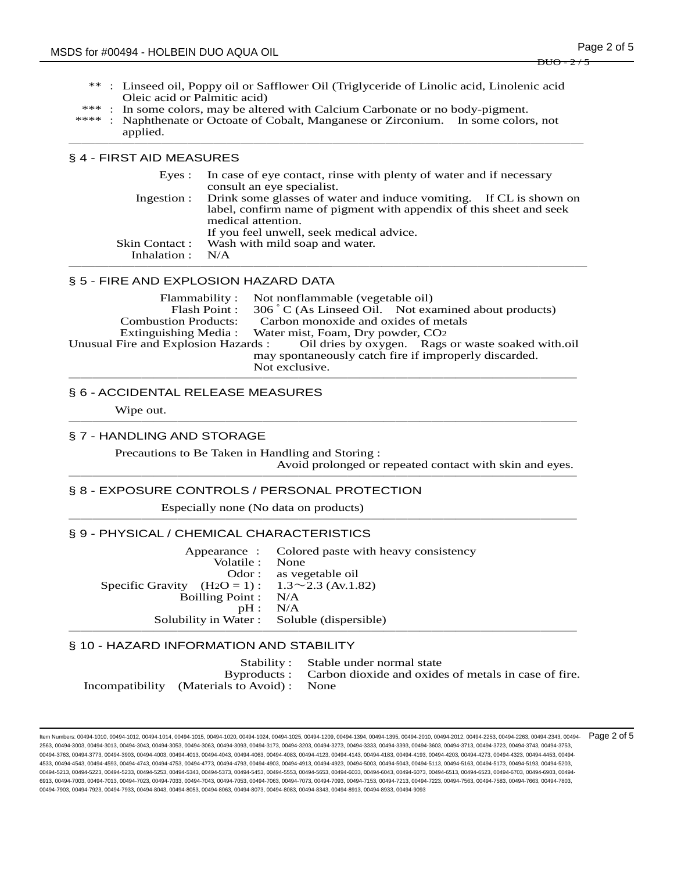- \*\* : Linseed oil, Poppy oil or Safflower Oil (Triglyceride of Linolic acid, Linolenic acid Oleic acid or Palmitic acid)
- In some colors, may be altered with Calcium Carbonate or no body-pigment.
- : Naphthenate or Octoate of Cobalt, Manganese or Zirconium. In some colors, not applied. ───────────────────────────────────────

### § 4 - FIRST AID MEASURES

|                    | Eyes : In case of eye contact, rinse with plenty of water and if necessary<br>consult an eye specialist. |
|--------------------|----------------------------------------------------------------------------------------------------------|
|                    | Ingestion : Drink some glasses of water and induce vomiting. If CL is shown on                           |
|                    | label, confirm name of pigment with appendix of this sheet and seek<br>medical attention.                |
|                    | If you feel unwell, seek medical advice.                                                                 |
|                    | Skin Contact: Wash with mild soap and water.                                                             |
| Inhalation : $N/A$ |                                                                                                          |
|                    |                                                                                                          |

#### § 5 - FIRE AND EXPLOSION HAZARD DATA

| Flammability :              | Not nonflammable (vegetable oil)                                                        |  |  |
|-----------------------------|-----------------------------------------------------------------------------------------|--|--|
| Flash Point:                | 306 °C (As Linseed Oil. Not examined about products)                                    |  |  |
| <b>Combustion Products:</b> | Carbon monoxide and oxides of metals                                                    |  |  |
|                             | Extinguishing Media: Water mist, Foam, Dry powder, CO2                                  |  |  |
|                             | Unusual Fire and Explosion Hazards : Oil dries by oxygen. Rags or waste soaked with oil |  |  |
|                             | may spontaneously catch fire if improperly discarded.                                   |  |  |
|                             | Not exclusive.                                                                          |  |  |
|                             |                                                                                         |  |  |

# § 6 - ACCIDENTAL RELEASE MEASURES

Wipe out. ──────────────────────────────────────────

# § 7 - HANDLING AND STORAGE

Precautions to Be Taken in Handling and Storing :

Avoid prolonged or repeated contact with skin and eyes. ──────────────────────────────────────────

#### § 8 - EXPOSURE CONTROLS / PERSONAL PROTECTION

Especially none (No data on products) ──────────────────────────────────────────

#### § 9 - PHYSICAL / CHEMICAL CHARACTERISTICS

Appearance : Colored paste with heavy consistency Volatile : None Odor : as vegetable oil Specific Gravity  $(H_2O = 1)$ :  $1.3 \sim 2.3$  (Av.1.82) Boilling Point : N/A pH : N/A Solubility in Water : Soluble (dispersible) ──────────────────────────────────────────

#### § 10 - HAZARD INFORMATION AND STABILITY

Stability : Stable under normal state Byproducts : Carbon dioxide and oxides of metals in case of fire. Incompatibility (Materials to Avoid) : None

ltem Numbers: 00494-1010, 00494-1012, 00494-1014, 00494-1015, 00494-1020, 00494-1024, 00494-1209, 00494-1304, 00494-1394, 00494-2010, 00494-2010, 00494-2012, 00494-2253, 00494-2263, 00494-23543, 00494-2354, 00494-2263, 004 2563, 00494-3003, 00494-3013, 00494-3043, 00494-3053, 00494-3063, 00494-3093, 00494-3173, 00494-3203, 00494-3273, 00494-3333, 00494-3393, 00494-3603, 00494-3713, 00494-3723, 00494-3743, 00494-3753, 00494-3763, 00494-3773, 00494-3903, 00494-4003, 00494-4013, 00494-4043, 00494-4063, 00494-4123, 00494-4113, 00494-4183, 00494-4183, 00494-4203, 00494-4273, 00494-4273, 00494-4273, 00494-4453, 00494-4203, 00494-4273, 00494-4 4533, 00494-4543, 00494-4593, 00494-4743, 00494-4753, 00494-4773, 00494-4793, 00494-4903, 00494-4913, 00494-4923, 00494-5003, 00494-5043, 00494-5113, 00494-5163, 00494-5173, 00494-5193, 00494-5203, 00494-5213, 00494-5223, 00494-5233, 00494-5243, 00494-5373, 00494-5453, 00494-5553, 00494-6633, 00494-6043, 00494-6073, 00494-6073, 00494-6513, 00494-6523, 00494-6703, 00494-6073, 00494-6073, 00494-6703, 00494-6903, 00494-6 6913, 00494-7003, 00494-7013, 00494-7023, 00494-7033, 00494-7043, 00494-7053, 00494-7063, 00494-7073, 00494-7093, 00494-7153, 00494-7213, 00494-7223, 00494-7563, 00494-7583, 00494-7663, 00494-7803, 00494-7903, 00494-7923, 00494-7933, 00494-8043, 00494-8053, 00494-8063, 00494-8073, 00494-8083, 00494-8343, 00494-8913, 00494-8933, 00494-9093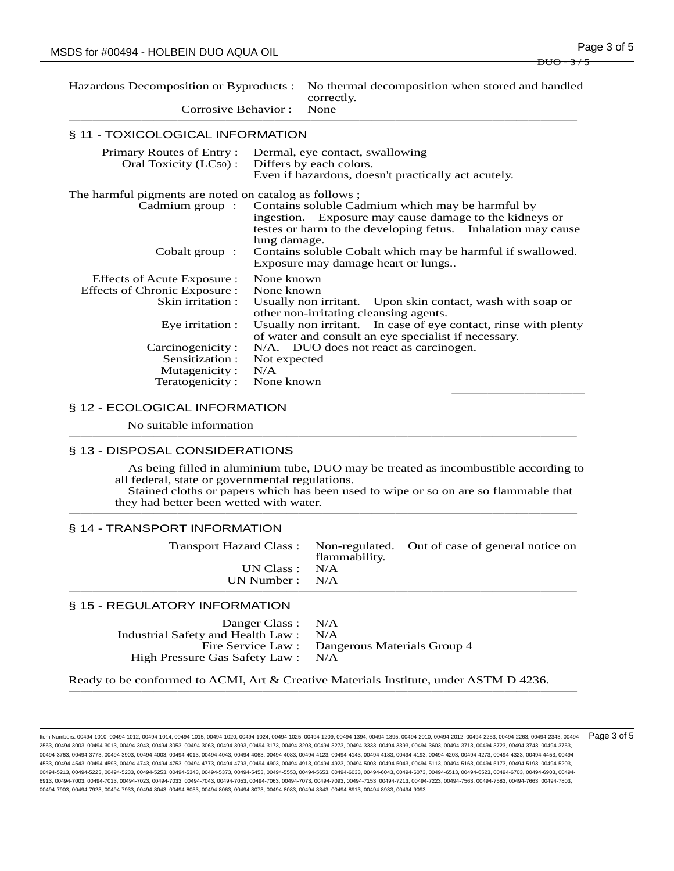| Hazardous Decomposition or Byproducts :<br>Corrosive Behavior:                                                                                                                  |                                                               | No thermal decomposition when stored and handled<br>correctly.<br>None                                                                                                                                                                                                         |
|---------------------------------------------------------------------------------------------------------------------------------------------------------------------------------|---------------------------------------------------------------|--------------------------------------------------------------------------------------------------------------------------------------------------------------------------------------------------------------------------------------------------------------------------------|
| § 11 - TOXICOLOGICAL INFORMATION                                                                                                                                                |                                                               |                                                                                                                                                                                                                                                                                |
| Primary Routes of Entry:<br>Oral Toxicity (LC50):                                                                                                                               |                                                               | Dermal, eye contact, swallowing<br>Differs by each colors.<br>Even if hazardous, doesn't practically act acutely.                                                                                                                                                              |
| The harmful pigments are noted on catalog as follows;<br>Cadmium group :<br>Cobalt group :                                                                                      | lung damage.                                                  | Contains soluble Cadmium which may be harmful by<br>ingestion. Exposure may cause damage to the kidneys or<br>testes or harm to the developing fetus. Inhalation may cause<br>Contains soluble Cobalt which may be harmful if swallowed.<br>Exposure may damage heart or lungs |
| Effects of Acute Exposure :<br>Effects of Chronic Exposure:<br>Skin irritation :<br>Eye irritation :<br>Carcinogenicity:<br>Sensitization :<br>Mutagenicity:<br>Teratogenicity: | None known<br>None known<br>Not expected<br>N/A<br>None known | Usually non irritant. Upon skin contact, wash with soap or<br>other non-irritating cleansing agents.<br>Usually non irritant. In case of eye contact, rinse with plenty<br>of water and consult an eye specialist if necessary.<br>N/A. DUO does not react as carcinogen.      |

## § 12 - ECOLOGICAL INFORMATION

No suitable information ──────────────────────────────────────────

#### § 13 - DISPOSAL CONSIDERATIONS

As being filled in aluminium tube, DUO may be treated as incombustible according to all federal, state or governmental regulations.

 Stained cloths or papers which has been used to wipe or so on are so flammable that they had better been wetted with water. ──────────────────────────────────────────

#### § 14 - TRANSPORT INFORMATION

|                   | flammability. | Transport Hazard Class: Non-regulated. Out of case of general notice on |
|-------------------|---------------|-------------------------------------------------------------------------|
| UN Class : $N/A$  |               |                                                                         |
| UN Number : $N/A$ |               |                                                                         |
|                   |               |                                                                         |

#### § 15 - REGULATORY INFORMATION

| Danger Class : N/A                    |                                                |
|---------------------------------------|------------------------------------------------|
| Industrial Safety and Health Law: N/A |                                                |
|                                       | Fire Service Law : Dangerous Materials Group 4 |
| High Pressure Gas Safety Law : N/A    |                                                |

Ready to be conformed to ACMI, Art & Creative Materials Institute, under ASTM D 4236. ──────────────────────────────────────────

ltem Numbers: 00494-1010, 00494-1012, 00494-1014, 00494-1015, 00494-1020, 00494-1024, 00494-1209, 00494-1304, 00494-1394, 00494-2010, 00494-2010, 00494-2012, 00494-2253, 00494-2263, 00494-23543, 00494-2354, 00494-2263, 004 2563, 00494-3003, 00494-3013, 00494-3043, 00494-3053, 00494-3063, 00494-3093, 00494-3173, 00494-3203, 00494-3273, 00494-3333, 00494-3393, 00494-3603, 00494-3713, 00494-3723, 00494-3743, 00494-3753, 00494-3763, 00494-3773, 00494-3903, 00494-4003, 00494-4013, 00494-4043, 00494-4063, 00494-4123, 00494-4113, 00494-4183, 00494-4183, 00494-4203, 00494-4273, 00494-4273, 00494-4273, 00494-4453, 00494-4203, 00494-4273, 00494-4 4533, 00494-4543, 00494-4593, 00494-4743, 00494-4753, 00494-4773, 00494-4793, 00494-4903, 00494-4913, 00494-4923, 00494-5003, 00494-5043, 00494-5113, 00494-5163, 00494-5173, 00494-5193, 00494-5203, 00494-5213, 00494-5223, 00494-5233, 00494-5243, 00494-5373, 00494-5453, 00494-5553, 00494-6633, 00494-6043, 00494-6073, 00494-6073, 00494-6513, 00494-6523, 00494-6703, 00494-6073, 00494-6073, 00494-6703, 00494-6903, 00494-6 6913, 00494-7003, 00494-7013, 00494-7023, 00494-7033, 00494-7043, 00494-7053, 00494-7073, 00494-7093, 00494-7153, 00494-7213, 00494-7223, 00494-7583, 00494-7563, 00494-7663, 00494-7683, 00494-7683, 00494-7663, 00494-7663, 0 00494-7903, 00494-7923, 00494-7933, 00494-8043, 00494-8053, 00494-8063, 00494-8073, 00494-8083, 00494-8343, 00494-8913, 00494-8933, 00494-9093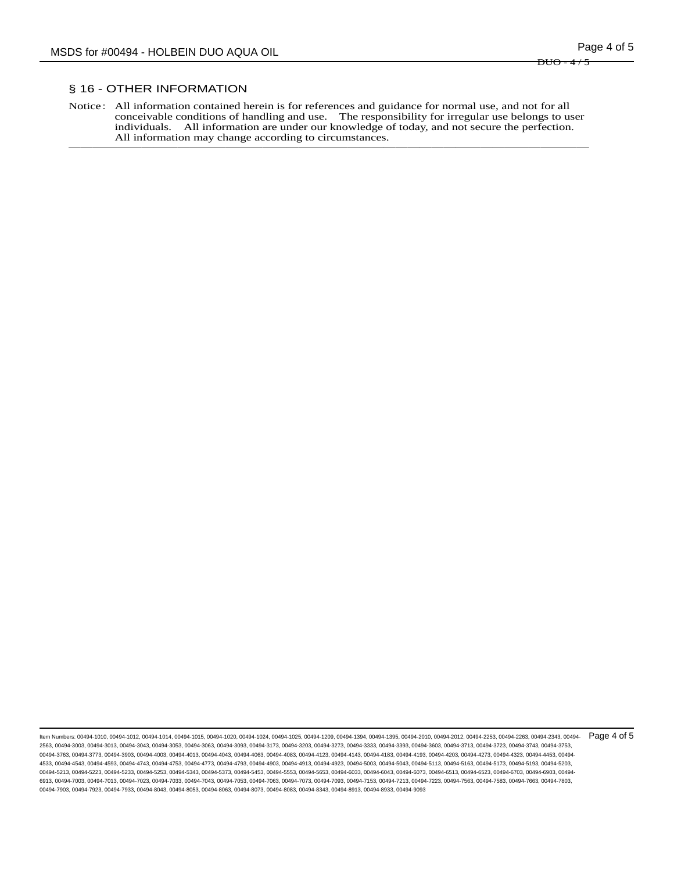$D\text{UO} = 4$ 

## § 16 - OTHER INFORMATION

Notice: All information contained herein is for references and guidance for normal use, and not for all conceivable conditions of handling and use. The responsibility for irregular use belongs to user individuals. All information are under our knowledge of today, and not secure the perfection. All information may change according to circumstances. ───────────────────────────────────────────

ltem Numbers: 00494-1010, 00494-1012, 00494-1014, 00494-1015, 00494-1020, 00494-1024, 00494-1209, 00494-1304, 00494-1394, 00494-2010, 00494-2010, 00494-2012, 00494-2253, 00494-2263, 00494-23543, 00494-2354, 00494-2263, 004 2563, 00494-3003, 00494-3013, 00494-3043, 00494-3053, 00494-3063, 00494-3093, 00494-3173, 00494-3203, 00494-3273, 00494-3333, 00494-3393, 00494-3603, 00494-3713, 00494-3723, 00494-3743, 00494-3753, 00494-3763, 00494-3773, 00494-3903, 00494-4003, 00494-4013, 00494-4043, 00494-4063, 00494-4123, 00494-4113, 00494-4183, 00494-4183, 00494-4203, 00494-4273, 00494-4273, 00494-4273, 00494-4453, 00494-4203, 00494-4273, 00494-4 4533, 00494-4543, 00494-4593, 00494-4743, 00494-4753, 00494-4773, 00494-4793, 00494-4903, 00494-4913, 00494-4923, 00494-5003, 00494-5043, 00494-5113, 00494-5163, 00494-5173, 00494-5193, 00494-5203, 00494-5213, 00494-5223, 00494-5233, 00494-5243, 00494-5373, 00494-5453, 00494-5553, 00494-6633, 00494-6043, 00494-6073, 00494-6073, 00494-6513, 00494-6523, 00494-6703, 00494-6073, 00494-6073, 00494-6703, 00494-6903, 00494-6 6913, 00494-7003, 00494-7013, 00494-7023, 00494-7033, 00494-7043, 00494-7053, 00494-7073, 00494-7093, 00494-7153, 00494-7213, 00494-7223, 00494-7583, 00494-7563, 00494-7663, 00494-7683, 00494-7683, 00494-7663, 00494-7663, 0 00494-7903, 00494-7923, 00494-7933, 00494-8043, 00494-8053, 00494-8063, 00494-8073, 00494-8083, 00494-8343, 00494-8913, 00494-8933, 00494-9093